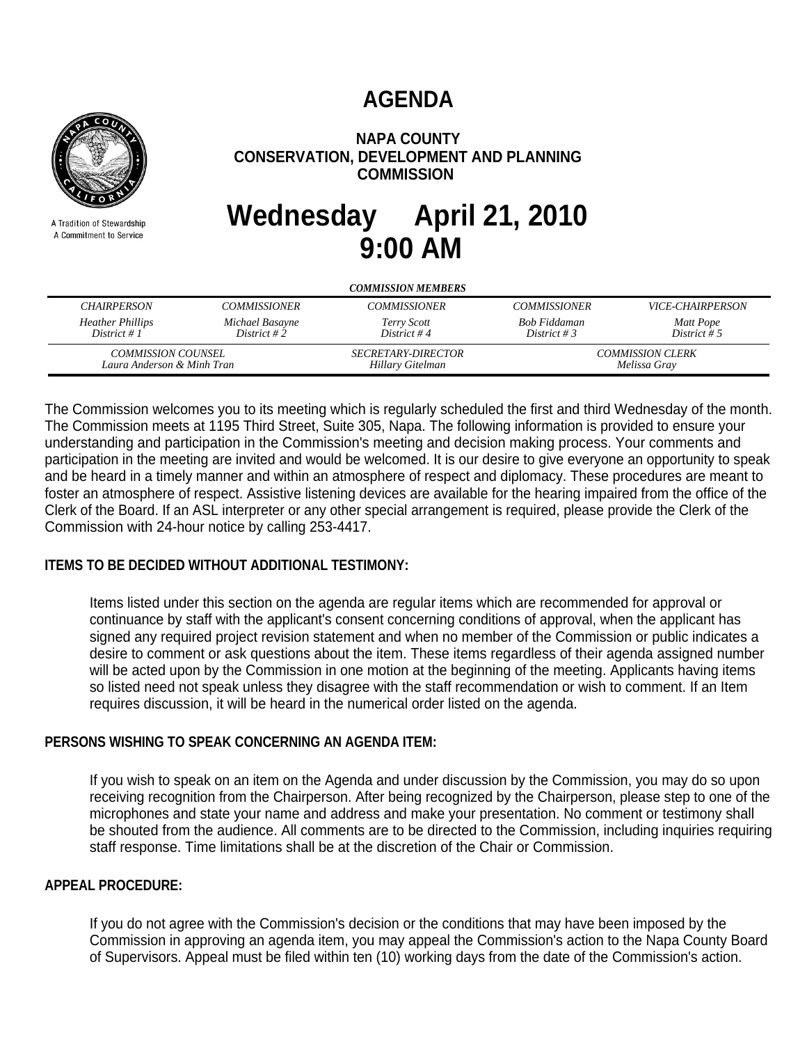# **AGENDA**



A Tradition of Stewardship A Commitment to Service

# **NAPA COUNTY CONSERVATION, DEVELOPMENT AND PLANNING COMMISSION**

# **Wednesday April 21, 2010 9:00 AM**

| <b>COMMISSION MEMBERS</b>                 |                                                         |                            |                                         |                                |
|-------------------------------------------|---------------------------------------------------------|----------------------------|-----------------------------------------|--------------------------------|
| <b>CHAIRPERSON</b>                        | <b>COMMISSIONER</b>                                     | <b>COMMISSIONER</b>        | <b>COMMISSIONER</b>                     | <i><b>VICE-CHAIRPERSON</b></i> |
| <b>Heather Phillips</b><br>District # $1$ | Michael Basayne<br>District #2                          | Terry Scott<br>District #4 | Bob Fiddaman<br>District # 3            | Matt Pope<br>District # 5      |
|                                           | <i>COMMISSION COUNSEL</i><br>Laura Anderson & Minh Tran |                            | <b>COMMISSION CLERK</b><br>Melissa Gray |                                |

The Commission welcomes you to its meeting which is regularly scheduled the first and third Wednesday of the month. The Commission meets at 1195 Third Street, Suite 305, Napa. The following information is provided to ensure your understanding and participation in the Commission's meeting and decision making process. Your comments and participation in the meeting are invited and would be welcomed. It is our desire to give everyone an opportunity to speak and be heard in a timely manner and within an atmosphere of respect and diplomacy. These procedures are meant to foster an atmosphere of respect. Assistive listening devices are available for the hearing impaired from the office of the Clerk of the Board. If an ASL interpreter or any other special arrangement is required, please provide the Clerk of the Commission with 24-hour notice by calling 253-4417.

# **ITEMS TO BE DECIDED WITHOUT ADDITIONAL TESTIMONY:**

Items listed under this section on the agenda are regular items which are recommended for approval or continuance by staff with the applicant's consent concerning conditions of approval, when the applicant has signed any required project revision statement and when no member of the Commission or public indicates a desire to comment or ask questions about the item. These items regardless of their agenda assigned number will be acted upon by the Commission in one motion at the beginning of the meeting. Applicants having items so listed need not speak unless they disagree with the staff recommendation or wish to comment. If an Item requires discussion, it will be heard in the numerical order listed on the agenda.

# **PERSONS WISHING TO SPEAK CONCERNING AN AGENDA ITEM:**

If you wish to speak on an item on the Agenda and under discussion by the Commission, you may do so upon receiving recognition from the Chairperson. After being recognized by the Chairperson, please step to one of the microphones and state your name and address and make your presentation. No comment or testimony shall be shouted from the audience. All comments are to be directed to the Commission, including inquiries requiring staff response. Time limitations shall be at the discretion of the Chair or Commission.

# **APPEAL PROCEDURE:**

If you do not agree with the Commission's decision or the conditions that may have been imposed by the Commission in approving an agenda item, you may appeal the Commission's action to the Napa County Board of Supervisors. Appeal must be filed within ten (10) working days from the date of the Commission's action.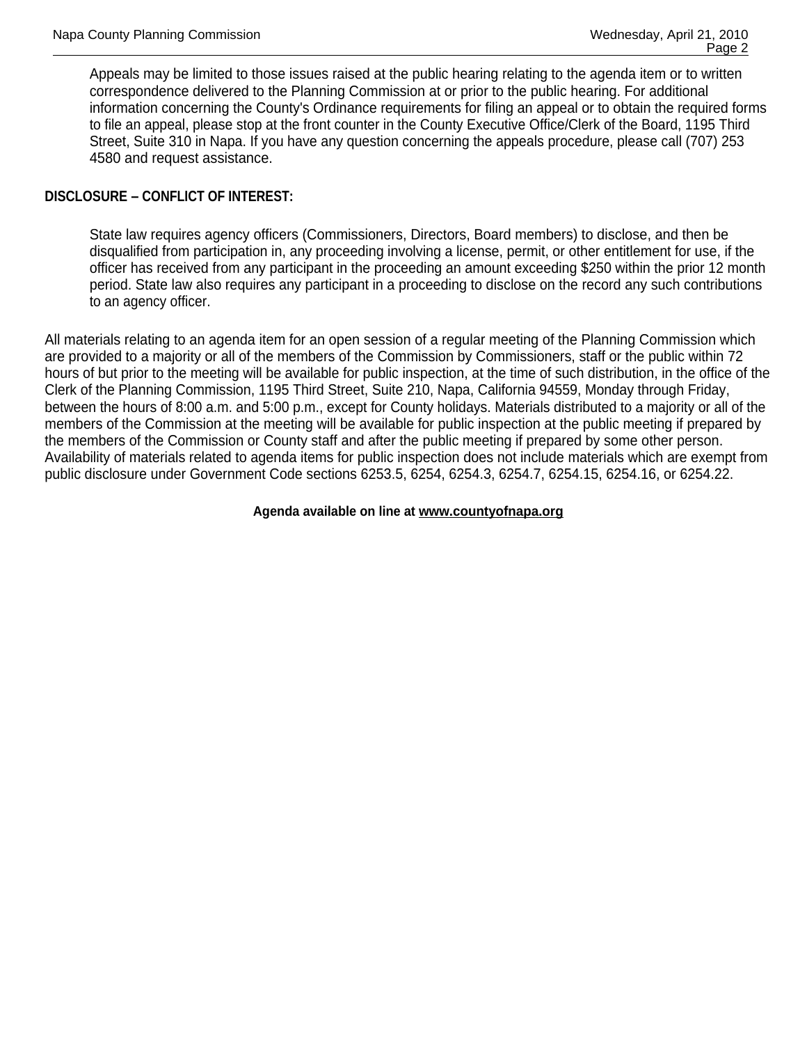Appeals may be limited to those issues raised at the public hearing relating to the agenda item or to written correspondence delivered to the Planning Commission at or prior to the public hearing. For additional information concerning the County's Ordinance requirements for filing an appeal or to obtain the required forms to file an appeal, please stop at the front counter in the County Executive Office/Clerk of the Board, 1195 Third Street, Suite 310 in Napa. If you have any question concerning the appeals procedure, please call (707) 253 4580 and request assistance.

# **DISCLOSURE – CONFLICT OF INTEREST:**

State law requires agency officers (Commissioners, Directors, Board members) to disclose, and then be disqualified from participation in, any proceeding involving a license, permit, or other entitlement for use, if the officer has received from any participant in the proceeding an amount exceeding \$250 within the prior 12 month period. State law also requires any participant in a proceeding to disclose on the record any such contributions to an agency officer.

All materials relating to an agenda item for an open session of a regular meeting of the Planning Commission which are provided to a majority or all of the members of the Commission by Commissioners, staff or the public within 72 hours of but prior to the meeting will be available for public inspection, at the time of such distribution, in the office of the Clerk of the Planning Commission, 1195 Third Street, Suite 210, Napa, California 94559, Monday through Friday, between the hours of 8:00 a.m. and 5:00 p.m., except for County holidays. Materials distributed to a majority or all of the members of the Commission at the meeting will be available for public inspection at the public meeting if prepared by the members of the Commission or County staff and after the public meeting if prepared by some other person. Availability of materials related to agenda items for public inspection does not include materials which are exempt from public disclosure under Government Code sections 6253.5, 6254, 6254.3, 6254.7, 6254.15, 6254.16, or 6254.22.

#### **Agenda available on line at www.countyofnapa.org**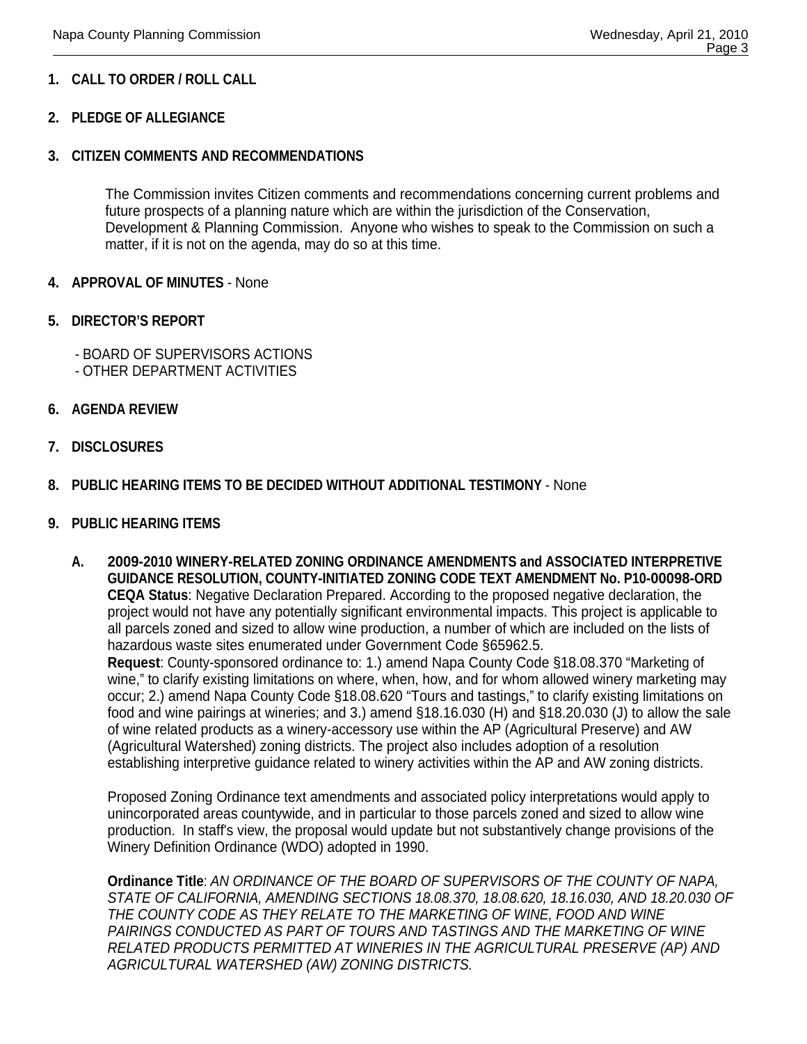# **1. CALL TO ORDER / ROLL CALL**

# **2. PLEDGE OF ALLEGIANCE**

#### **3. CITIZEN COMMENTS AND RECOMMENDATIONS**

The Commission invites Citizen comments and recommendations concerning current problems and future prospects of a planning nature which are within the jurisdiction of the Conservation, Development & Planning Commission. Anyone who wishes to speak to the Commission on such a matter, if it is not on the agenda, may do so at this time.

#### **4. APPROVAL OF MINUTES** - None

#### **5. DIRECTOR'S REPORT**

- BOARD OF SUPERVISORS ACTIONS
- OTHER DEPARTMENT ACTIVITIES
- **6. AGENDA REVIEW**
- **7. DISCLOSURES**

#### **8. PUBLIC HEARING ITEMS TO BE DECIDED WITHOUT ADDITIONAL TESTIMONY** - None

#### **9. PUBLIC HEARING ITEMS**

**A. 2009-2010 WINERY-RELATED ZONING ORDINANCE AMENDMENTS and ASSOCIATED INTERPRETIVE GUIDANCE RESOLUTION, COUNTY-INITIATED ZONING CODE TEXT AMENDMENT No. P10-00098-ORD CEQA Status**: Negative Declaration Prepared. According to the proposed negative declaration, the project would not have any potentially significant environmental impacts. This project is applicable to all parcels zoned and sized to allow wine production, a number of which are included on the lists of hazardous waste sites enumerated under Government Code §65962.5.

**Request**: County-sponsored ordinance to: 1.) amend Napa County Code §18.08.370 "Marketing of wine," to clarify existing limitations on where, when, how, and for whom allowed winery marketing may occur; 2.) amend Napa County Code §18.08.620 "Tours and tastings," to clarify existing limitations on food and wine pairings at wineries; and 3.) amend §18.16.030 (H) and §18.20.030 (J) to allow the sale of wine related products as a winery-accessory use within the AP (Agricultural Preserve) and AW (Agricultural Watershed) zoning districts. The project also includes adoption of a resolution establishing interpretive guidance related to winery activities within the AP and AW zoning districts.

Proposed Zoning Ordinance text amendments and associated policy interpretations would apply to unincorporated areas countywide, and in particular to those parcels zoned and sized to allow wine production. In staff's view, the proposal would update but not substantively change provisions of the Winery Definition Ordinance (WDO) adopted in 1990.

**Ordinance Title**: *AN ORDINANCE OF THE BOARD OF SUPERVISORS OF THE COUNTY OF NAPA, STATE OF CALIFORNIA, AMENDING SECTIONS 18.08.370, 18.08.620, 18.16.030, AND 18.20.030 OF THE COUNTY CODE AS THEY RELATE TO THE MARKETING OF WINE, FOOD AND WINE*  PAIRINGS CONDUCTED AS PART OF TOURS AND TASTINGS AND THE MARKETING OF WINE *RELATED PRODUCTS PERMITTED AT WINERIES IN THE AGRICULTURAL PRESERVE (AP) AND AGRICULTURAL WATERSHED (AW) ZONING DISTRICTS.*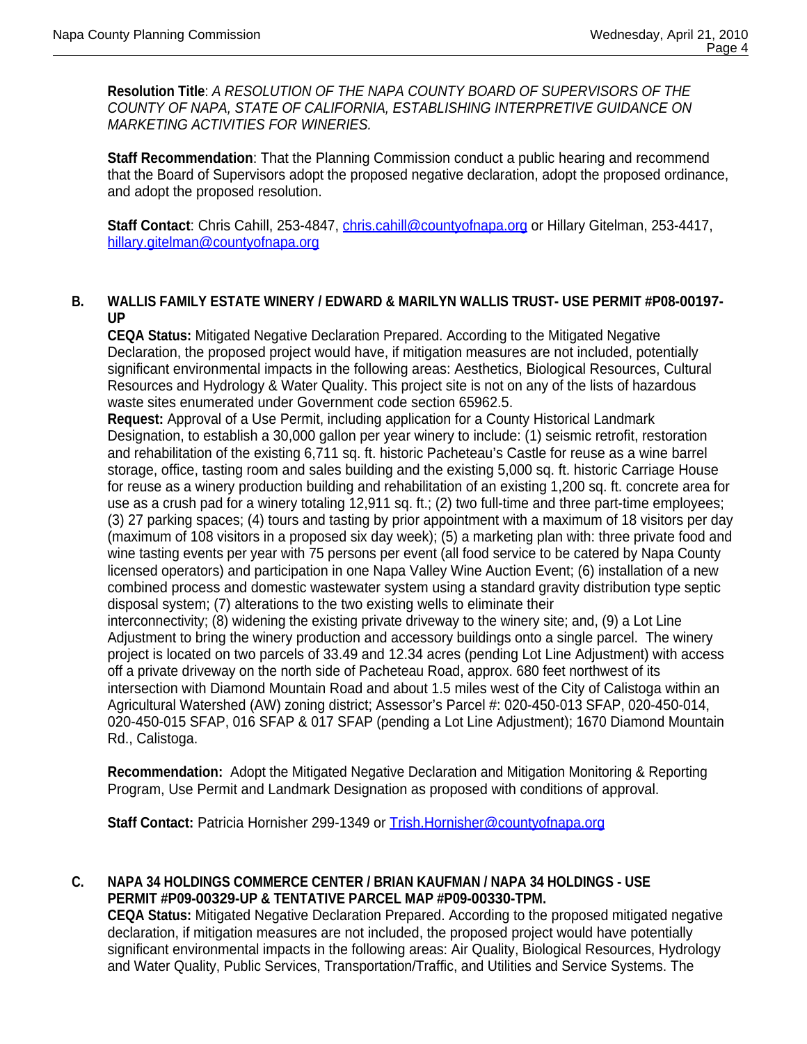**Resolution Title**: *A RESOLUTION OF THE NAPA COUNTY BOARD OF SUPERVISORS OF THE COUNTY OF NAPA, STATE OF CALIFORNIA, ESTABLISHING INTERPRETIVE GUIDANCE ON MARKETING ACTIVITIES FOR WINERIES.* 

**Staff Recommendation**: That the Planning Commission conduct a public hearing and recommend that the Board of Supervisors adopt the proposed negative declaration, adopt the proposed ordinance, and adopt the proposed resolution.

Staff Contact: Chris Cahill, 253-4847, chris.cahill@countyofnapa.org or Hillary Gitelman, 253-4417, hillary.gitelman@countyofnapa.org

#### **B. WALLIS FAMILY ESTATE WINERY / EDWARD & MARILYN WALLIS TRUST- USE PERMIT #P08-00197- UP**

**CEQA Status:** Mitigated Negative Declaration Prepared. According to the Mitigated Negative Declaration, the proposed project would have, if mitigation measures are not included, potentially significant environmental impacts in the following areas: Aesthetics, Biological Resources, Cultural Resources and Hydrology & Water Quality. This project site is not on any of the lists of hazardous waste sites enumerated under Government code section 65962.5.

**Request:** Approval of a Use Permit, including application for a County Historical Landmark Designation, to establish a 30,000 gallon per year winery to include: (1) seismic retrofit, restoration and rehabilitation of the existing 6,711 sq. ft. historic Pacheteau's Castle for reuse as a wine barrel storage, office, tasting room and sales building and the existing 5,000 sq. ft. historic Carriage House for reuse as a winery production building and rehabilitation of an existing 1,200 sq. ft. concrete area for use as a crush pad for a winery totaling 12,911 sq. ft.; (2) two full-time and three part-time employees; (3) 27 parking spaces; (4) tours and tasting by prior appointment with a maximum of 18 visitors per day (maximum of 108 visitors in a proposed six day week); (5) a marketing plan with: three private food and wine tasting events per year with 75 persons per event (all food service to be catered by Napa County licensed operators) and participation in one Napa Valley Wine Auction Event; (6) installation of a new combined process and domestic wastewater system using a standard gravity distribution type septic disposal system; (7) alterations to the two existing wells to eliminate their

interconnectivity; (8) widening the existing private driveway to the winery site; and, (9) a Lot Line Adjustment to bring the winery production and accessory buildings onto a single parcel. The winery project is located on two parcels of 33.49 and 12.34 acres (pending Lot Line Adjustment) with access off a private driveway on the north side of Pacheteau Road, approx. 680 feet northwest of its intersection with Diamond Mountain Road and about 1.5 miles west of the City of Calistoga within an Agricultural Watershed (AW) zoning district; Assessor's Parcel #: 020-450-013 SFAP, 020-450-014, 020-450-015 SFAP, 016 SFAP & 017 SFAP (pending a Lot Line Adjustment); 1670 Diamond Mountain Rd., Calistoga.

**Recommendation:** Adopt the Mitigated Negative Declaration and Mitigation Monitoring & Reporting Program, Use Permit and Landmark Designation as proposed with conditions of approval.

Staff Contact: Patricia Hornisher 299-1349 or Trish.Hornisher@countyofnapa.org

#### **C. NAPA 34 HOLDINGS COMMERCE CENTER / BRIAN KAUFMAN / NAPA 34 HOLDINGS - USE PERMIT #P09-00329-UP & TENTATIVE PARCEL MAP #P09-00330-TPM.**

**CEQA Status:** Mitigated Negative Declaration Prepared. According to the proposed mitigated negative declaration, if mitigation measures are not included, the proposed project would have potentially significant environmental impacts in the following areas: Air Quality, Biological Resources, Hydrology and Water Quality, Public Services, Transportation/Traffic, and Utilities and Service Systems. The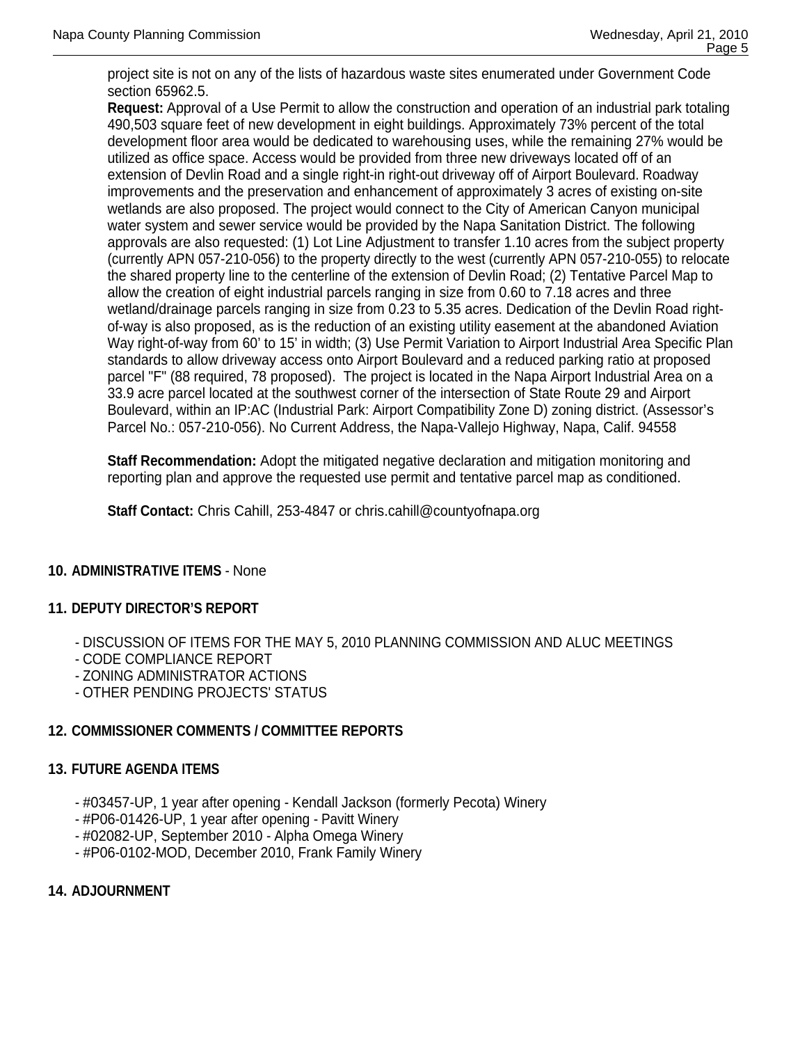project site is not on any of the lists of hazardous waste sites enumerated under Government Code section 65962.5.

**Request:** Approval of a Use Permit to allow the construction and operation of an industrial park totaling 490,503 square feet of new development in eight buildings. Approximately 73% percent of the total development floor area would be dedicated to warehousing uses, while the remaining 27% would be utilized as office space. Access would be provided from three new driveways located off of an extension of Devlin Road and a single right-in right-out driveway off of Airport Boulevard. Roadway improvements and the preservation and enhancement of approximately 3 acres of existing on-site wetlands are also proposed. The project would connect to the City of American Canyon municipal water system and sewer service would be provided by the Napa Sanitation District. The following approvals are also requested: (1) Lot Line Adjustment to transfer 1.10 acres from the subject property (currently APN 057-210-056) to the property directly to the west (currently APN 057-210-055) to relocate the shared property line to the centerline of the extension of Devlin Road; (2) Tentative Parcel Map to allow the creation of eight industrial parcels ranging in size from 0.60 to 7.18 acres and three wetland/drainage parcels ranging in size from 0.23 to 5.35 acres. Dedication of the Devlin Road rightof-way is also proposed, as is the reduction of an existing utility easement at the abandoned Aviation Way right-of-way from 60' to 15' in width; (3) Use Permit Variation to Airport Industrial Area Specific Plan standards to allow driveway access onto Airport Boulevard and a reduced parking ratio at proposed parcel "F" (88 required, 78 proposed). The project is located in the Napa Airport Industrial Area on a 33.9 acre parcel located at the southwest corner of the intersection of State Route 29 and Airport Boulevard, within an IP:AC (Industrial Park: Airport Compatibility Zone D) zoning district. (Assessor's Parcel No.: 057-210-056). No Current Address, the Napa-Vallejo Highway, Napa, Calif. 94558

**Staff Recommendation:** Adopt the mitigated negative declaration and mitigation monitoring and reporting plan and approve the requested use permit and tentative parcel map as conditioned.

**Staff Contact:** Chris Cahill, 253-4847 or chris.cahill@countyofnapa.org

# **10. ADMINISTRATIVE ITEMS** - None

# **11. DEPUTY DIRECTOR'S REPORT**

- DISCUSSION OF ITEMS FOR THE MAY 5, 2010 PLANNING COMMISSION AND ALUC MEETINGS

- CODE COMPLIANCE REPORT
- ZONING ADMINISTRATOR ACTIONS
- OTHER PENDING PROJECTS' STATUS

# **12. COMMISSIONER COMMENTS / COMMITTEE REPORTS**

# **13. FUTURE AGENDA ITEMS**

- #03457-UP, 1 year after opening Kendall Jackson (formerly Pecota) Winery
- #P06-01426-UP, 1 year after opening Pavitt Winery
- #02082-UP, September 2010 Alpha Omega Winery
- #P06-0102-MOD, December 2010, Frank Family Winery

# **14. ADJOURNMENT**